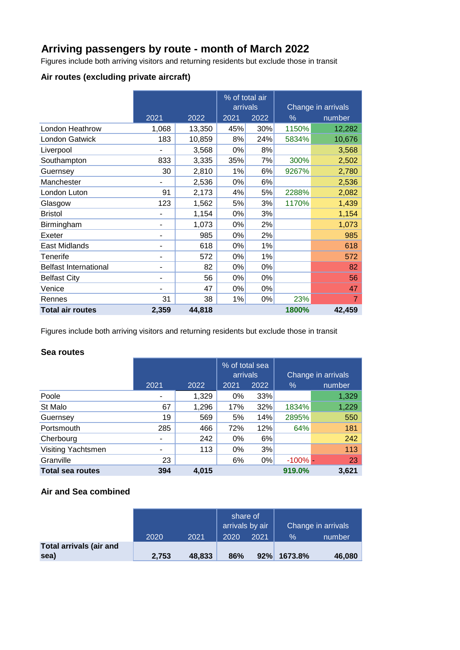## **Arriving passengers by route - month of March 2022**

Figures include both arriving visitors and returning residents but exclude those in transit

### **Air routes (excluding private aircraft)**

|                              |                |        | % of total air<br>arrivals |      |                | Change in arrivals |
|------------------------------|----------------|--------|----------------------------|------|----------------|--------------------|
|                              | 2021<br>2022   |        | 2021                       | 2022 | $\%$<br>number |                    |
| London Heathrow              | 1,068          | 13,350 | 45%                        | 30%  | 1150%          | 12,282             |
| <b>London Gatwick</b>        | 183            | 10,859 | 8%                         | 24%  | 5834%          | 10,676             |
| Liverpool                    |                | 3,568  | 0%                         | 8%   |                | 3,568              |
| Southampton                  | 833            | 3,335  | 35%                        | 7%   | 300%           | 2,502              |
| Guernsey                     | 30             | 2,810  | 1%                         | 6%   | 9267%          | 2,780              |
| Manchester                   |                | 2,536  | 0%                         | 6%   |                | 2,536              |
| London Luton                 | 91             | 2,173  | 4%                         | 5%   | 2288%          | 2,082              |
| Glasgow                      | 123            | 1,562  | 5%                         | 3%   | 1170%          | 1,439              |
| <b>Bristol</b>               | ۰              | 1,154  | 0%                         | 3%   |                | 1,154              |
| Birmingham                   | $\blacksquare$ | 1,073  | 0%                         | 2%   |                | 1,073              |
| Exeter                       | -              | 985    | 0%                         | 2%   |                | 985                |
| East Midlands                |                | 618    | 0%                         | 1%   |                | 618                |
| Tenerife                     | ۰              | 572    | 0%                         | 1%   |                | 572                |
| <b>Belfast International</b> |                | 82     | 0%                         | 0%   |                | 82                 |
| <b>Belfast City</b>          | ۰              | 56     | 0%                         | 0%   |                | 56                 |
| Venice                       |                | 47     | 0%                         | 0%   |                | 47                 |
| Rennes                       | 31             | 38     | 1%                         | 0%   | 23%            | 7                  |
| <b>Total air routes</b>      | 2,359          | 44,818 |                            |      | 1800%          | 42,459             |

Figures include both arriving visitors and returning residents but exclude those in transit

### **Sea routes**

|                         |      |       | % of total sea<br>arrivals |      | Change in arrivals |        |
|-------------------------|------|-------|----------------------------|------|--------------------|--------|
|                         | 2021 | 2022  | 2021                       | 2022 | $\%$               | number |
| Poole                   |      | 1,329 | 0%                         | 33%  |                    | 1,329  |
| St Malo                 | 67   | 1,296 | 17%                        | 32%  | 1834%              | 1,229  |
| Guernsey                | 19   | 569   | 5%                         | 14%  | 2895%              | 550    |
| Portsmouth              | 285  | 466   | 72%                        | 12%  | 64%                | 181    |
| Cherbourg               | -    | 242   | 0%                         | 6%   |                    | 242    |
| Visiting Yachtsmen      | ۰    | 113   | 0%                         | 3%   |                    | 113    |
| Granville               | 23   |       | 6%                         | 0%   | $-100\%$ -         | 23     |
| <b>Total sea routes</b> | 394  | 4.015 |                            |      | 919.0%             | 3,621  |

### **Air and Sea combined**

| Change in arrivals |  |
|--------------------|--|
| $\%$<br>number     |  |
| 46,080             |  |
| 92% 1673.8%        |  |